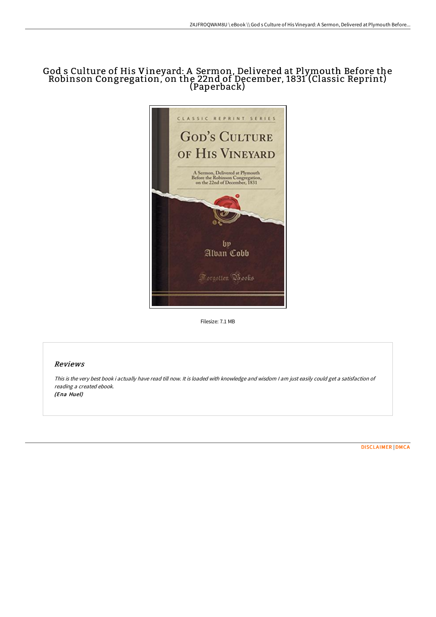# God s Culture of His Vineyard: A Sermon, Delivered at Plymouth Before the Robinson Congregation, on the 22nd of December, 1831 (Classic Reprint) (Paperback)



Filesize: 7.1 MB

# Reviews

This is the very best book i actually have read till now. It is loaded with knowledge and wisdom <sup>I</sup> am just easily could get <sup>a</sup> satisfaction of reading <sup>a</sup> created ebook. (Ena Huel)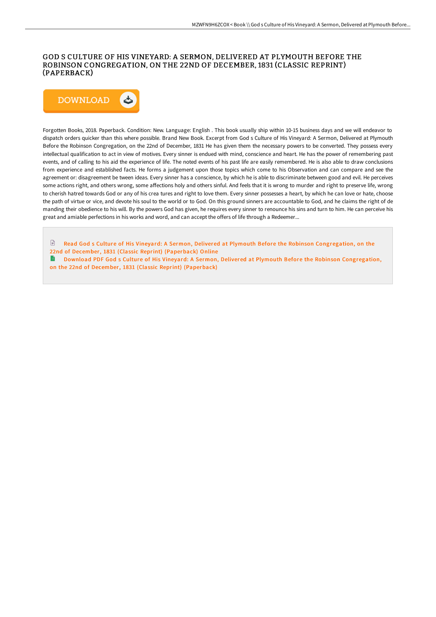## GOD S CULTURE OF HIS VINEYARD: A SERMON, DELIVERED AT PLYMOUTH BEFORE THE ROBINSON CONGREGATION, ON THE 22ND OF DECEMBER, 1831 (CLASSIC REPRINT) (PAPERBACK)



Forgotten Books, 2018. Paperback. Condition: New. Language: English . This book usually ship within 10-15 business days and we will endeavor to dispatch orders quicker than this where possible. Brand New Book. Excerpt from God s Culture of His Vineyard: A Sermon, Delivered at Plymouth Before the Robinson Congregation, on the 22nd of December, 1831 He has given them the necessary powers to be converted. They possess every intellectual qualification to act in view of motives. Every sinner is endued with mind, conscience and heart. He has the power of remembering past events, and of calling to his aid the experience of life. The noted events of his past life are easily remembered. He is also able to draw conclusions from experience and established facts. He forms a judgement upon those topics which come to his Observation and can compare and see the agreement or: disagreement be tween ideas. Every sinner has a conscience, by which he is able to discriminate between good and evil. He perceives some actions right, and others wrong, some affections holy and others sinful. And feels that it is wrong to murder and right to preserve life, wrong to cherish hatred towards God or any of his crea tures and right to love them. Every sinner possesses a heart, by which he can love or hate, choose the path of virtue or vice, and devote his soul to the world or to God. On this ground sinners are accountable to God, and he claims the right of de manding their obedience to his will. By the powers God has given, he requires every sinner to renounce his sins and turn to him. He can perceive his great and amiable perfections in his works and word, and can accept the offers of life through a Redeemer...

- Read God s Culture of His Vineyard: A Sermon, Delivered at Plymouth Before the Robinson [Congregation,](http://www.bookdirs.com/god-s-culture-of-his-vineyard-a-sermon-delivered-1.html) on the 22nd of December, 1831 (Classic Reprint) (Paperback) Online
- Download PDF God s Culture of His Vineyard: A Sermon, Delivered at Plymouth Before the Robinson [Congregation,](http://www.bookdirs.com/god-s-culture-of-his-vineyard-a-sermon-delivered-1.html) on the 22nd of December, 1831 (Classic Reprint) (Paperback)